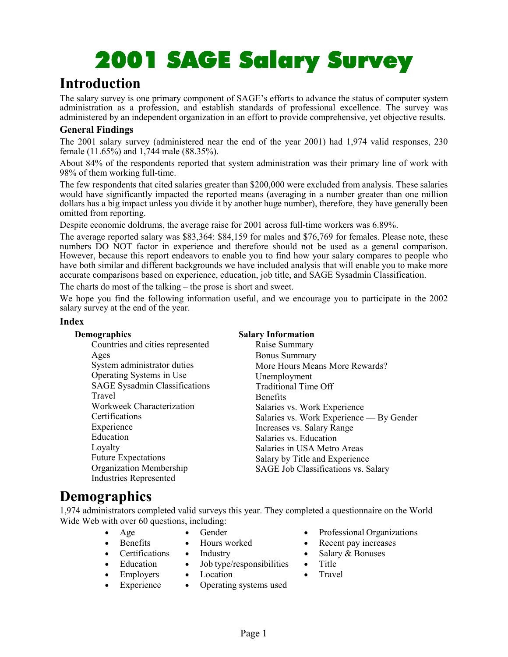# 2001 SAGE Salary Survey 2001 Salary Survey

### **Introduction**

The salary survey is one primary component of SAGE's efforts to advance the status of computer system administration as a profession, and establish standards of professional excellence. The survey was administered by an independent organization in an effort to provide comprehensive, yet objective results.

#### **General Findings**

The 2001 salary survey (administered near the end of the year 2001) had 1,974 valid responses, 230 female (11.65%) and 1,744 male (88.35%).

About 84% of the respondents reported that system administration was their primary line of work with 98% of them working full-time.

The few respondents that cited salaries greater than \$200,000 were excluded from analysis. These salaries would have significantly impacted the reported means (averaging in a number greater than one million dollars has a big impact unless you divide it by another huge number), therefore, they have generally been omitted from reporting.

Despite economic doldrums, the average raise for 2001 across full-time workers was 6.89%.

The average reported salary was \$83,364: \$84,159 for males and \$76,769 for females. Please note, these numbers DO NOT factor in experience and therefore should not be used as a general comparison. However, because this report endeavors to enable you to find how your salary compares to people who have both similar and different backgrounds we have included analysis that will enable you to make more accurate comparisons based on experience, education, job title, and SAGE Sysadmin Classification.

The charts do most of the talking – the prose is short and sweet.

We hope you find the following information useful, and we encourage you to participate in the 2002 salary survey at the end of the year.

#### **Index**

| Demographics                         | <b>Salary Information</b>                |
|--------------------------------------|------------------------------------------|
| Countries and cities represented     | Raise Summary                            |
| Ages                                 | <b>Bonus Summary</b>                     |
| System administrator duties          | More Hours Means More Rewards?           |
| Operating Systems in Use             | Unemployment                             |
| <b>SAGE Sysadmin Classifications</b> | <b>Traditional Time Off</b>              |
| Travel                               | <b>Benefits</b>                          |
| Workweek Characterization            | Salaries vs. Work Experience             |
| Certifications                       | Salaries vs. Work Experience — By Gender |
| Experience                           | Increases vs. Salary Range               |
| Education                            | Salaries vs. Education                   |
| Loyalty                              | Salaries in USA Metro Areas              |
| <b>Future Expectations</b>           | Salary by Title and Experience           |
| Organization Membership              | SAGE Job Classifications vs. Salary      |
| <b>Industries Represented</b>        |                                          |

### **Demographics**

1,974 administrators completed valid surveys this year. They completed a questionnaire on the World Wide Web with over 60 questions, including:

- Age
- Gender
- Hours worked

• Location

- **Certifications Industry** 
	- Job type/responsibilities
- Employers

**Benefits** 

• Education

- **Experience** • Operating systems used
- Professional Organizations
- Recent pay increases
- Salary & Bonuses
- Title
- Travel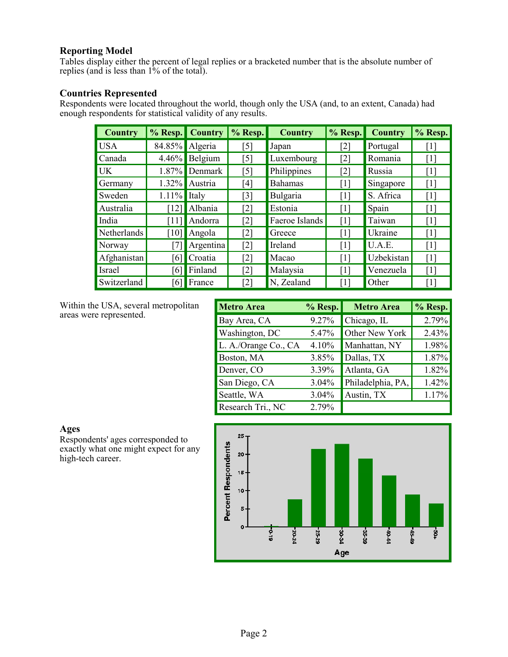#### **Reporting Model**

Tables display either the percent of legal replies or a bracketed number that is the absolute number of replies (and is less than 1% of the total).

#### **Countries Represented**

Respondents were located throughout the world, though only the USA (and, to an extent, Canada) had enough respondents for statistical validity of any results.

| Country     |                    | % Resp. Country | $%$ Resp.         | <b>Country</b> | % Resp.           | <b>Country</b> | % Resp.           |
|-------------|--------------------|-----------------|-------------------|----------------|-------------------|----------------|-------------------|
| <b>USA</b>  |                    | 84.85% Algeria  | [5]               | Japan          | [2]               | Portugal       | $\lceil 1 \rceil$ |
| Canada      | $4.46\%$           | Belgium         | [5]               | Luxembourg     | [2]               | Romania        | $\lceil 1 \rceil$ |
| UK          | 1.87%              | Denmark         | [5]               | Philippines    | [2]               | Russia         | $\lceil 1 \rceil$ |
| Germany     | $1.32\%$           | Austria         | [4]               | <b>Bahamas</b> | [1]               | Singapore      | $\lceil 1 \rceil$ |
| Sweden      | $1.11\%$           | Italy           | [3]               | Bulgaria       | [1]               | S. Africa      | [1]               |
| Australia   | [12]               | Albania         | $\lceil 2 \rceil$ | Estonia        | $\lceil 1 \rceil$ | Spain          | $\lceil 1 \rceil$ |
| India       | [11]               | Andorra         | $\lceil 2 \rceil$ | Faeroe Islands | $\lceil 1 \rceil$ | Taiwan         | $\lceil 1 \rceil$ |
| Netherlands | $\lceil 10 \rceil$ | Angola          | [2]               | Greece         | $\lceil 1 \rceil$ | Ukraine        | $\lceil 1 \rceil$ |
| Norway      |                    | Argentina       | $[2]$             | Ireland        | $\lceil 1 \rceil$ | U.A.E.         | $\lceil 1 \rceil$ |
| Afghanistan | [6]                | Croatia         | [2]               | Macao          | [1]               | Uzbekistan     | $\lceil 1 \rceil$ |
| Israel      | [6]                | Finland         | [2]               | Malaysia       | [1]               | Venezuela      | $\lceil 1 \rceil$ |
| Switzerland | [6]                | France          | [2]               | N, Zealand     | $\lceil 1 \rceil$ | Other          | $\lceil 1 \rceil$ |

Within the USA, several metropolitan areas were represented.

| Metro Area             | % Resp. | <b>Metro Area</b> | % Resp. |
|------------------------|---------|-------------------|---------|
| Bay Area, CA           | 9.27%   | Chicago, IL       | 2.79%   |
| <b>Washington</b> , DC | 5.47%   | Other New York    | 2.43%   |
| L. A./Orange Co., CA   | 4.10%   | Manhattan, NY     | 1.98%   |
| Boston, MA             | 3.85%   | Dallas, TX        | 1.87%   |
| Denver, CO             | 3.39%   | Atlanta, GA       | 1.82%   |
| San Diego, CA          | 3.04%   | Philadelphia, PA, | 1.42%   |
| Seattle, WA            | 3.04%   | Austin, TX        | 1.17%   |
| Research Tri., NC      | 2.79%   |                   |         |

**Ages** 

Respondents' ages corresponded to exactly what one might expect for any high-tech career.

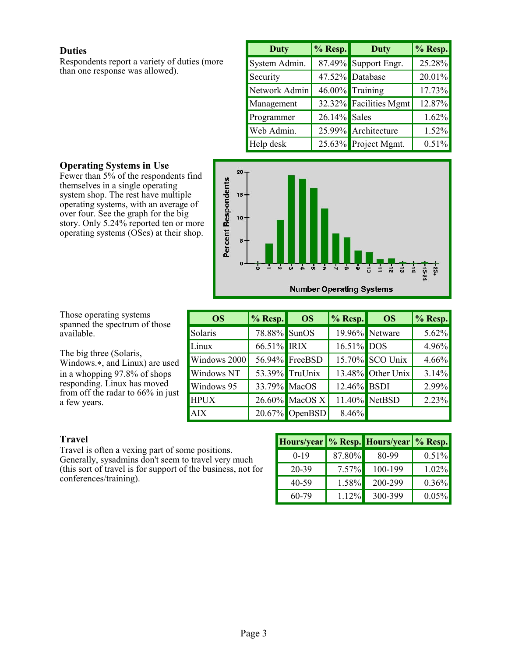#### **Duties**

Respondents report a variety of duties (more than one response was allowed).

| <b>Duty</b>   | % Resp.      | <b>Duty</b>            | % Resp. |
|---------------|--------------|------------------------|---------|
| System Admin. |              | 87.49% Support Engr.   | 25.28%  |
| Security      |              | 47.52% Database        | 20.01%  |
| Network Admin |              | 46.00% Training        | 17.73%  |
| Management    |              | 32.32% Facilities Mgmt | 12.87%  |
| Programmer    | 26.14% Sales |                        | 1.62%   |
| Web Admin.    |              | 25.99% Architecture    | 1.52%   |
| Help desk     |              | 25.63% Project Mgmt.   | 0.51%   |



# **Operating Systems in Use**

Fewer than 5% of the respondents find themselves in a single operating system shop. The rest have multiple operating systems, with an average of over four. See the graph for the big story. Only 5.24% reported ten or more operating systems (OSes) at their shop.

Those operating systems spanned the spectrum of those available.

The big three (Solaris, Windows.\*, and Linux) are used in a whopping 97.8% of shops responding. Linux has moved from off the radar to 66% in just a few years.

| <b>OS</b>    | $\vert\%$ Resp. | <b>OS</b>         | $\frac{9}{6}$ Resp. | <b>OS</b>         | $\sim$ Resp. |
|--------------|-----------------|-------------------|---------------------|-------------------|--------------|
| Solaris      | 78.88% SunOS    |                   |                     | 19.96% Netware    | 5.62%        |
| Linux        | 66.51% IRIX     |                   | 16.51% DOS          |                   | 4.96%        |
| Windows 2000 |                 | 56.94% FreeBSD    |                     | 15.70% SCO Unix   | 4.66%        |
| Windows NT   |                 | 53.39% TruUnix    |                     | 13.48% Other Unix | 3.14%        |
| Windows 95   | 33.79% MacOS    |                   | 12.46% BSDI         |                   | 2.99%        |
| <b>HPUX</b>  |                 | 26.60% MacOS X    |                     | 11.40% NetBSD     | 2.23%        |
| <b>AIX</b>   |                 | $20.67\%$ OpenBSD | 8.46%               |                   |              |

#### **Travel**

Travel is often a vexing part of some positions. Generally, sysadmins don't seem to travel very much (this sort of travel is for support of the business, not for conferences/training).

|        |          | Hours/year   % Resp. Hours/year   % Resp. |          |
|--------|----------|-------------------------------------------|----------|
| $0-19$ | 87.80%   | 80-99                                     | 0.51%    |
| 20-39  | $7.57\%$ | 100-199                                   | 1.02%    |
| 40-59  | 1.58%    | 200-299                                   | 0.36%    |
| 60-79  | 1.12%    | 300-399                                   | $0.05\%$ |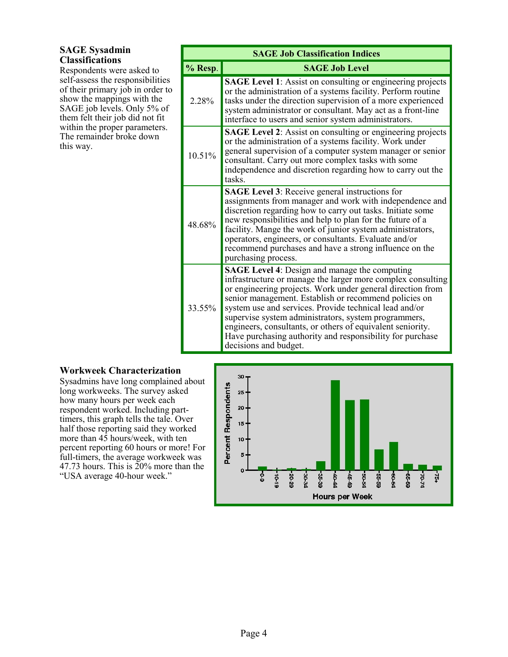#### **SAGE Sysadmin Classifications**

Respondents were asked to self-assess the responsibilities of their primary job in order to show the mappings with the SAGE job levels. Only 5% of them felt their job did not fit within the proper parameters. The remainder broke down this way.

|           | <b>SAGE Job Classification Indices</b>                                                                                                                                                                                                                                                                                                                                                                                                                                                                           |  |  |  |  |  |  |
|-----------|------------------------------------------------------------------------------------------------------------------------------------------------------------------------------------------------------------------------------------------------------------------------------------------------------------------------------------------------------------------------------------------------------------------------------------------------------------------------------------------------------------------|--|--|--|--|--|--|
| % Resp.   | <b>SAGE Job Level</b>                                                                                                                                                                                                                                                                                                                                                                                                                                                                                            |  |  |  |  |  |  |
| 2 2 8 %   | <b>SAGE Level 1:</b> Assist on consulting or engineering projects<br>or the administration of a systems facility. Perform routine<br>tasks under the direction supervision of a more experienced<br>system administrator or consultant. May act as a front-line<br>interface to users and senior system administrators.                                                                                                                                                                                          |  |  |  |  |  |  |
| $10.51\%$ | <b>SAGE Level 2:</b> Assist on consulting or engineering projects<br>or the administration of a systems facility. Work under<br>general supervision of a computer system manager or senior<br>consultant. Carry out more complex tasks with some<br>independence and discretion regarding how to carry out the<br>tasks.                                                                                                                                                                                         |  |  |  |  |  |  |
| 48.68%    | SAGE Level 3: Receive general instructions for<br>assignments from manager and work with independence and<br>discretion regarding how to carry out tasks. Initiate some<br>new responsibilities and help to plan for the future of a<br>facility. Mange the work of junior system administrators,<br>operators, engineers, or consultants. Evaluate and/or<br>recommend purchases and have a strong influence on the<br>purchasing process.                                                                      |  |  |  |  |  |  |
| 33.55%    | <b>SAGE Level 4:</b> Design and manage the computing<br>infrastructure or manage the larger more complex consulting<br>or engineering projects. Work under general direction from<br>senior management. Establish or recommend policies on<br>system use and services. Provide technical lead and/or<br>supervise system administrators, system programmers,<br>engineers, consultants, or others of equivalent seniority.<br>Have purchasing authority and responsibility for purchase<br>decisions and budget. |  |  |  |  |  |  |

#### **Workweek Characterization**

Sysadmins have long complained about long workweeks. The survey asked how many hours per week each respondent worked. Including parttimers, this graph tells the tale. Over half those reporting said they worked more than  $4\overline{5}$  hours/week, with ten percent reporting 60 hours or more! For full-timers, the average workweek was 47.73 hours. This is 20% more than the "USA average 40-hour week."

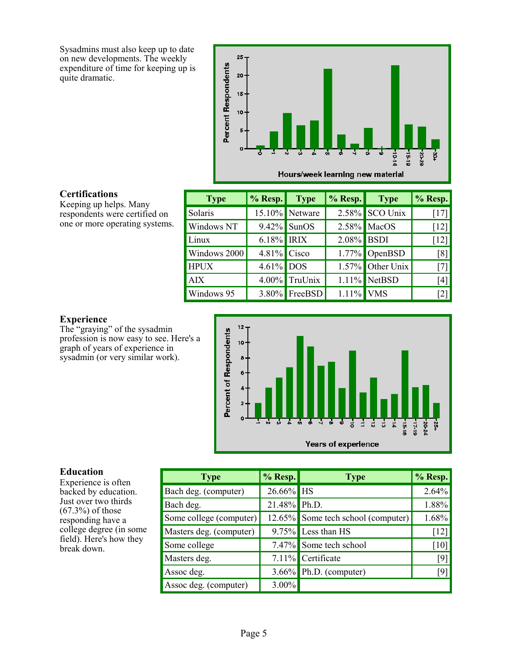Sysadmins must also keep up to date on new developments. The weekly expenditure of time for keeping up is quite dramatic.



#### **Certifications**

Keeping up helps. Many respondents were certified on one or more operating systems.

| <b>Type</b>  | <b>% Resp.</b> Type |                | $% Resp.$ Type |                     | % Resp.            |
|--------------|---------------------|----------------|----------------|---------------------|--------------------|
| Solaris      |                     | 15.10% Netware |                | $2.58\%$ SCO Unix   | $[17]$             |
| Windows NT   | $9.42\%$            | <b>SunOS</b>   |                | 2.58% MacOS         | $[12]$             |
| Linux        | 6.18% IRIX          |                | 2.08% BSDI     |                     | $\lceil 12 \rceil$ |
| Windows 2000 | $4.81\%$ Cisco      |                |                | $1.77\%$ OpenBSD    | [8]                |
| <b>HPUX</b>  | $4.61\%$ DOS        |                |                | $1.57\%$ Other Unix | $[7]$              |
| <b>AIX</b>   |                     | 4.00% TruUnix  |                | $1.11\%$ NetBSD     | $[4]$              |
| Windows 95   |                     | 3.80% FreeBSD  | $1.11\%$ VMS   |                     | [2]                |

#### **Experience**

The "graying" of the sysadmin profession is now easy to see. Here's a graph of years of experience in sysadmin (or very similar work).



#### **Education**

Experience is often backed by education. Just over two thirds  $(67.3\%)$  of those responding have a college degree (in some field). Here's how they break down.

| <b>Type</b>             | % Resp.      | <b>Type</b>                        | % Resp. |
|-------------------------|--------------|------------------------------------|---------|
| Bach deg. (computer)    | 26.66% HS    |                                    | 2.64%   |
| Bach deg.               | 21.48% Ph.D. |                                    | 1.88%   |
| Some college (computer) |              | 12.65% Some tech school (computer) | 1.68%   |
| Masters deg. (computer) |              | $9.75\%$ Less than HS              | $[12]$  |
| Some college            |              | 7.47% Some tech school             | $[10]$  |
| Masters deg.            |              | 7.11% Certificate                  | $[9]$   |
| Assoc deg.              |              | 3.66% Ph.D. (computer)             | [9]     |
| Assoc deg. (computer)   | $3.00\%$     |                                    |         |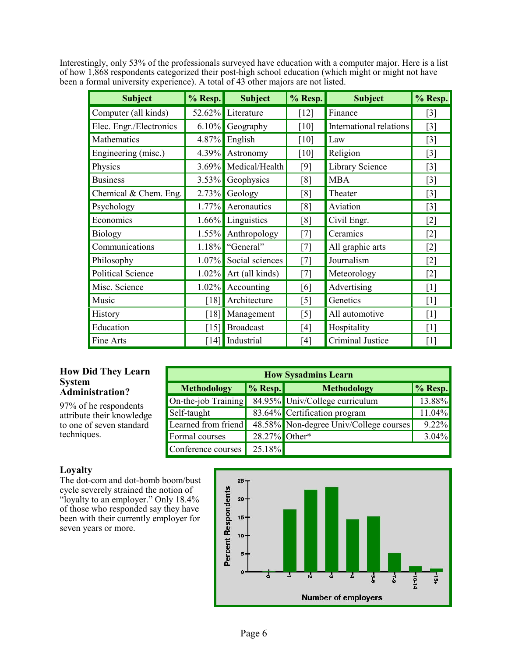Interestingly, only 53% of the professionals surveyed have education with a computer major. Here is a list of how 1,868 respondents categorized their post-high school education (which might or might not have been a formal university experience). A total of 43 other majors are not listed.

| <b>Subject</b>           | % Resp.            | <b>Subject</b>     | % Resp.           | <b>Subject</b>                 | % Resp.           |
|--------------------------|--------------------|--------------------|-------------------|--------------------------------|-------------------|
| Computer (all kinds)     |                    | 52.62% Literature  | $[12]$            | Finance                        | $[3]$             |
| Elec. Engr./Electronics  |                    | $6.10\%$ Geography | [10]              | <b>International relations</b> | $\lceil 3 \rceil$ |
| Mathematics              | $4.87\%$           | English            | [10]              | Law                            | $\lceil 3 \rceil$ |
| Engineering (misc.)      | $4.39\%$           | Astronomy          | [10]              | Religion                       | $\lceil 3 \rceil$ |
| Physics                  | $3.69\%$           | Medical/Health     | [9]               | Library Science                | $[3]$             |
| <b>Business</b>          |                    | 3.53% Geophysics   | [8]               | <b>MBA</b>                     | $[3]$             |
| Chemical & Chem. Eng.    |                    | $2.73\%$ Geology   | [8]               | Theater                        | $[3]$             |
| Psychology               |                    | 1.77% Aeronautics  | [8]               | Aviation                       | $[3]$             |
| Economics                |                    | 1.66% Linguistics  | [8]               | Civil Engr.                    | $[2]$             |
| <b>Biology</b>           | $1.55\%$           | Anthropology       | [7]               | Ceramics                       | $[2]$             |
| Communications           | 1.18%              | "General"          | [7]               | All graphic arts               | $\lceil 2 \rceil$ |
| Philosophy               | $1.07\%$           | Social sciences    | [7]               | Journalism                     | $\lceil 2 \rceil$ |
| <b>Political Science</b> | $1.02\%$           | Art (all kinds)    | [7]               | Meteorology                    | $\lceil 2 \rceil$ |
| Misc. Science            | $1.02\%$           | Accounting         | [6]               | Advertising                    | $\lceil 1 \rceil$ |
| Music                    | [18]               | Architecture       | $\lceil 5 \rceil$ | Genetics                       | [1]               |
| History                  | [18]               | Management         | $\lceil 5 \rceil$ | All automotive                 | [1]               |
| Education                | $\lceil 15 \rceil$ | <b>Broadcast</b>   | [4]               | Hospitality                    | $\lceil 1 \rceil$ |
| Fine Arts                | [14]               | Industrial         | [4]               | Criminal Justice               | $\lceil 1 \rceil$ |

#### **How Did They Learn System Administration?**

97% of he respondents attribute their knowledge to one of seven standard techniques.

| <b>How Sysadmins Learn</b> |               |                                        |            |  |  |  |
|----------------------------|---------------|----------------------------------------|------------|--|--|--|
| <b>Methodology</b>         | $\%$ Resp.    | <b>Methodology</b>                     | $\%$ Resp. |  |  |  |
| On-the-job Training        |               | 84.95% Univ/College curriculum         | 13.88%     |  |  |  |
| Self-taught                |               | 83.64% Certification program           | 11.04%     |  |  |  |
| Learned from friend        |               | 48.58% Non-degree Univ/College courses | 9.22%      |  |  |  |
| Formal courses             | 28.27% Other* |                                        | $3.04\%$   |  |  |  |
| Conference courses         | 25.18%        |                                        |            |  |  |  |

#### **Loyalty**

The dot-com and dot-bomb boom/bust cycle severely strained the notion of "loyalty to an employer." Only 18.4% of those who responded say they have been with their currently employer for seven years or more.

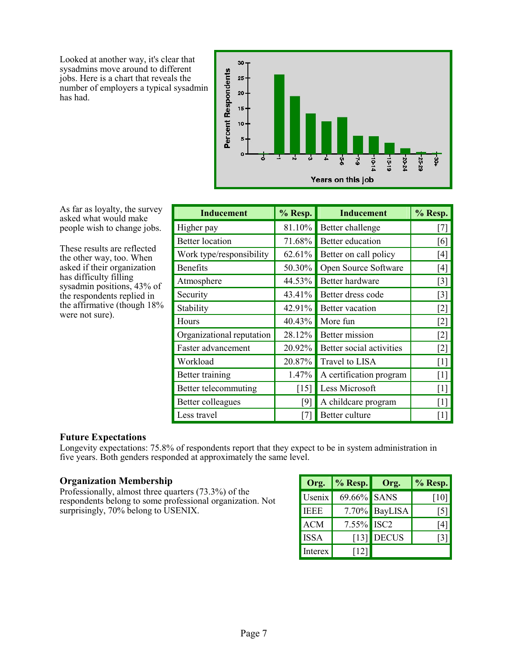Looked at another way, it's clear that sysadmins move around to different jobs. Here is a chart that reveals the number of employers a typical sysadmin has had.



As far as loyalty, the survey asked what would make people wish to change jobs.

These results are reflected the other way, too. When asked if their organization has difficulty filling sysadmin positions, 43% of the respondents replied in the affirmative (though 18% were not sure).

| <b>Inducement</b>         | % Resp. | <b>Inducement</b>        | % Resp.           |
|---------------------------|---------|--------------------------|-------------------|
| Higher pay                | 81.10%  | Better challenge         | $[7]$             |
| <b>Better</b> location    | 71.68%  | Better education         | [6]               |
| Work type/responsibility  | 62.61%  | Better on call policy    | $[4]$             |
| <b>Benefits</b>           | 50.30%  | Open Source Software     | $[4]$             |
| Atmosphere                | 44.53%  | Better hardware          | $\lceil 3 \rceil$ |
| Security                  | 43.41%  | Better dress code        | $\lceil 3 \rceil$ |
| Stability                 | 42.91%  | Better vacation          | $[2]$             |
| Hours                     | 40.43%  | More fun                 | $[2]$             |
| Organizational reputation | 28.12%  | <b>Better</b> mission    | $\lceil 2 \rceil$ |
| Faster advancement        | 20.92%  | Better social activities | $\lceil 2 \rceil$ |
| Workload                  | 20.87%  | Travel to LISA           | $\lceil 1 \rceil$ |
| Better training           | 1.47%   | A certification program  | $\lceil 1 \rceil$ |
| Better telecommuting      | [15]    | Less Microsoft           | $\lceil 1 \rceil$ |
| Better colleagues         | $[9]$   | A childcare program      | $\lceil 1 \rceil$ |
| Less travel               | [7]     | Better culture           | $\lceil 1 \rceil$ |

#### **Future Expectations**

Longevity expectations: 75.8% of respondents report that they expect to be in system administration in five years. Both genders responded at approximately the same level.

#### **Organization Membership**

Professionally, almost three quarters (73.3%) of the respondents belong to some professional organization. Not surprisingly, 70% belong to USENIX.

| Org.        | $\frac{9}{6}$ Resp. | Org.             | % Resp. |
|-------------|---------------------|------------------|---------|
| Usenix      | 69.66% SANS         |                  | 10      |
| <b>IEEE</b> | 7.70%               | BayLISA          | 151     |
| <b>ACM</b>  | 7.55%               | ISC <sub>2</sub> | 14 I    |
| <b>ISSA</b> | $\lceil 13 \rceil$  | <b>DECUS</b>     |         |
| Interex     | [12]                |                  |         |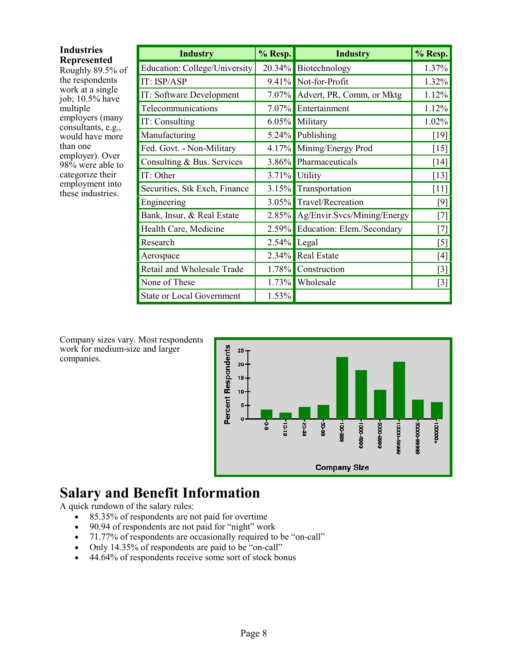| <b>Industries</b>                      | <b>Industry</b>                  | % Resp.          | <b>Industry</b>                   | % Resp.                                                                                                      |
|----------------------------------------|----------------------------------|------------------|-----------------------------------|--------------------------------------------------------------------------------------------------------------|
| <b>Represented</b><br>Roughly 89.5% of | Education: College/University    |                  | 20.34% Biotechnology              | 1.37%                                                                                                        |
| the respondents                        | IT: ISP/ASP                      |                  | 9.41% Not-for-Profit              | 1.32%                                                                                                        |
| work at a single<br>job; 10.5% have    | IT: Software Development         |                  | 7.07% Advert, PR, Comm, or Mktg   | 1.12%                                                                                                        |
| multiple                               | Telecommunications               |                  | 7.07% Entertainment               | 1.12%                                                                                                        |
| employers (many<br>consultants, e.g.,  | IT: Consulting                   |                  | 6.05% Military                    | 1.02%                                                                                                        |
| would have more                        | Manufacturing                    |                  | $5.24\%$ Publishing               | $[19]$                                                                                                       |
| than one                               | Fed. Govt. - Non-Military        |                  | 4.17% Mining/Energy Prod          | $[15]$                                                                                                       |
| employer). Over<br>98% were able to    | Consulting & Bus. Services       |                  | 3.86% Pharmaceuticals             | $[14]$                                                                                                       |
| categorize their                       | IT: Other                        | $3.71\%$ Utility |                                   | $[13]$                                                                                                       |
| employment into<br>these industries.   | Securities, Stk Exch, Finance    |                  | 3.15% Transportation              | $[11]$                                                                                                       |
|                                        | Engineering                      |                  | 3.05% Travel/Recreation           | [9]                                                                                                          |
|                                        | Bank, Insur, & Real Estate       |                  | 2.85% Ag/Envir.Svcs/Mining/Energy | $[7]$                                                                                                        |
|                                        | Health Care, Medicine            |                  | 2.59% Education: Elem./Secondary  | $[7]$                                                                                                        |
|                                        | Research                         | $2.54\%$ Legal   |                                   | $[5]$                                                                                                        |
|                                        | Aerospace                        |                  | 2.34% Real Estate                 | $[4] % \includegraphics[width=0.9\columnwidth]{figures/fig_4} \caption{A=}\ \vspace{-.1cm} \label{fig:4}} %$ |
|                                        | Retail and Wholesale Trade       | 1.78%            | Construction                      | $[3]$                                                                                                        |
|                                        | None of These                    | 1.73%            | Wholesale                         | $[3]$                                                                                                        |
|                                        | <b>State or Local Government</b> | 1.53%            |                                   |                                                                                                              |

Company sizes vary. Most respondents work for medium-size and larger companies.



# **Salary and Benefit Information**

A quick rundown of the salary rules:

- 85.35% of respondents are not paid for overtime
- 90.94 of respondents are not paid for "night" work
- 71.77% of respondents are occasionally required to be "on-call"
- Only 14.35% of respondents are paid to be "on-call"
- 44.64% of respondents receive some sort of stock bonus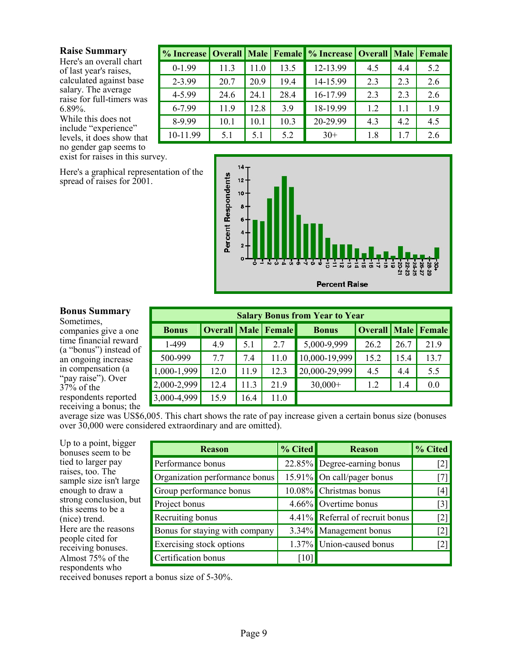#### **Raise Summary**

Here's an overall chart of last year's raises, calculated against base salary. The average raise for full-timers was 6.89%.

While this does not include "experience" levels, it does show that no gender gap seems to exist for raises in this survey.

Here's a graphical representation of the spread of raises for 2001.

| % Increase   Overall   Male   Female |      |      |      | % Increase   Overall   Male   Female |     |     |     |
|--------------------------------------|------|------|------|--------------------------------------|-----|-----|-----|
| $0-1.99$                             | 113  | 11.0 | 13.5 | 12-13.99                             | 4.5 | 4.4 | 5.2 |
| 2-3.99                               | 20.7 | 20.9 | 19.4 | 14-15.99                             | 2.3 | 2.3 | 2.6 |
| 4-5.99                               | 24.6 | 24.1 | 28.4 | 16-17.99                             | 2.3 | 2.3 | 2.6 |
| 6-7.99                               | 11.9 | 12.8 | 3.9  | 18-19.99                             | 12  | 11  | 19  |
| 8-9.99                               | 10.1 | 10.1 | 10.3 | 20-29.99                             | 43  | 4.2 | 4.5 |
| 10-11.99                             | 5.1  | 5.1  | 5.2  | $30+$                                | 1.8 | 17  | 2.6 |



#### **Bonus Summary**

Sometimes, companies give a one time financial reward (a "bonus") instead of an ongoing increase in compensation (a "pay raise"). Over  $37\%$  of the respondents reported receiving a bonus; the

| <b>Salary Bonus from Year to Year</b> |                                  |      |      |               |                         |      |      |  |
|---------------------------------------|----------------------------------|------|------|---------------|-------------------------|------|------|--|
| <b>Bonus</b>                          | <b>Overall   Male   Female  </b> |      |      | <b>Bonus</b>  | Overall   Male   Female |      |      |  |
| 1-499                                 | 4.9                              | 5.1  | 2.7  | 5,000-9,999   | 26.2                    | 26.7 | 219  |  |
| 500-999                               | 77                               | 7.4  | 11.0 | 10,000-19,999 | 15.2                    | 15.4 | 13.7 |  |
| 1,000-1,999                           | 12.0                             | 11.9 | 12.3 | 20,000-29,999 | 4.5                     | 4.4  | 5.5  |  |
| 2,000-2,999                           | 12.4                             | 11.3 | 219  | $30,000+$     | 1.2                     | 1.4  | 0.0  |  |
| 3,000-4,999                           | 15.9                             | 16.4 | 11.0 |               |                         |      |      |  |

average size was US\$6,005. This chart shows the rate of pay increase given a certain bonus size (bonuses over 30,000 were considered extraordinary and are omitted).

Up to a point, bigger bonuses seem to be tied to larger pay raises, too. The sample size isn't large enough to draw a strong conclusion, but this seems to be a (nice) trend. Here are the reasons people cited for receiving bonuses. Almost 75% of the respondents who

| <b>Reason</b>                  | $%$ Cited          | <b>Reason</b>                   | % Cited           |
|--------------------------------|--------------------|---------------------------------|-------------------|
| Performance bonus              |                    | 22.85% Degree-earning bonus     | [2]               |
| Organization performance bonus |                    | 15.91% On call/pager bonus      | 171               |
| Group performance bonus        |                    | 10.08% Christmas bonus          | [4]               |
| Project bonus                  |                    | 4.66% Overtime bonus            | $\lceil 3 \rceil$ |
| Recruiting bonus               |                    | 4.41% Referral of recruit bonus | [2]               |
| Bonus for staying with company |                    | 3.34% Management bonus          | [2]               |
| Exercising stock options       |                    | 1.37% Union-caused bonus        |                   |
| Certification bonus            | $\lceil 10 \rceil$ |                                 |                   |

received bonuses report a bonus size of 5-30%.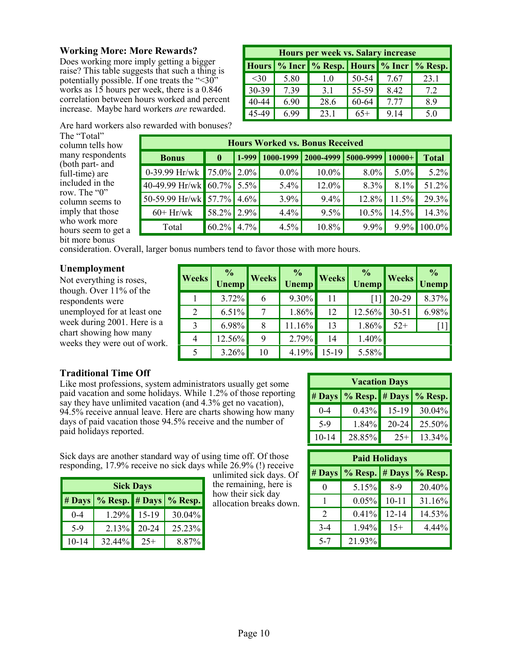#### **Working More: More Rewards?**

Does working more imply getting a bigger raise? This table suggests that such a thing is potentially possible. If one treats the "<30" works as 15 hours per week, there is a 0.846 correlation between hours worked and percent increase. Maybe hard workers *are* rewarded.

| Hours per week vs. Salary increase |      |                                                     |       |      |      |  |
|------------------------------------|------|-----------------------------------------------------|-------|------|------|--|
|                                    |      | Hours   % Incr   % Resp.   Hours   % Incr   % Resp. |       |      |      |  |
| $30$                               | 5.80 | 10                                                  | 50-54 | 7.67 | 23.1 |  |
| $30-39$                            | 7.39 | 31                                                  | 55-59 | 8.42 | 72   |  |
| 40-44                              | 6.90 | 28.6                                                | 60-64 | 777  | 89   |  |
| 45-49                              | 6.99 | 23.1                                                | $65+$ | 9 14 | 5.0  |  |

Are hard workers also rewarded with bonuses?

The "Total" column tells how many respondents (both part- and full-time) are included in the row. The "0" column seems to imply that those who work more hours seem to get a bit more bonus

consideration. Overall, larger bonus numbers tend to favor those with more hours.

#### **Unemployment**

Not everything is roses, though. Over 11% of the respondents were unemployed for at least one week during 2001. Here is a chart showing how many weeks they were out of work.

| <b>Weeks</b>   | $\frac{\frac{1}{2}}{\text{Unemp}}$ | <b>Weeks</b> | $\frac{\%}{\text{Unemp}}$ | <b>Weeks</b> | $\frac{\%}{\%}$ | <b>Weeks</b> | $\frac{6}{2}$<br>Vnemp |
|----------------|------------------------------------|--------------|---------------------------|--------------|-----------------|--------------|------------------------|
|                | 3.72%                              | 6            | $9.30\%$                  | 11           |                 | 20-29        | 8.37%                  |
| $\overline{2}$ | $6.51\%$                           |              | $1.86\%$                  | 12           | 12.56%          | $30 - 51$    | 6.98%                  |
| 3              | $6.98\%$                           | 8            | 11.16%                    | 13           | 1.86%           | $52+$        | $[1]$                  |
| $\overline{4}$ | 12.56%                             | 9            | 2.79%                     | 14           | 1.40%           |              |                        |
| 5              | 3.26%                              | 10           | 4.19%                     | 15-19        | 5.58%           |              |                        |

**Hours Worked vs. Bonus Received Bonus 0 1-999 1000-1999 2000-4999 5000-9999 10000+ Total** 

0-39.99 Hr/wk 75.0%  $2.0\%$  0.0% 10.0% 8.0% 5.0% 5.2% 40-49.99 Hr/wk 60.7% 5.5% 5.4% 12.0% 8.3% 8.1% 51.2% 50-59.99 Hr/wk 57.7% 4.6% 3.9% 9.4% 12.8% 11.5% 29.3% 60+ Hr/wk 58.2% 2.9% 4.4% 9.5% 10.5% 14.5% 14.3% Total  $\begin{bmatrix} 60.2\% \end{bmatrix}$  4.7% 4.5% 10.8% 9.9% 9.9% 100.0%

#### **Traditional Time Off**

Like most professions, system administrators usually get some paid vacation and some holidays. While 1.2% of those reporting say they have unlimited vacation (and 4.3% get no vacation), 94.5% receive annual leave. Here are charts showing how many days of paid vacation those 94.5% receive and the number of paid holidays reported.

| <b>Vacation Days</b> |                                           |           |        |  |  |  |
|----------------------|-------------------------------------------|-----------|--------|--|--|--|
|                      | $\#$ Days $\%$ Resp. $\#$ Days $\%$ Resp. |           |        |  |  |  |
| $0 - 4$              | 0.43%                                     | $15-19$   | 30.04% |  |  |  |
| 5-9                  | 1.84%                                     | $20 - 24$ | 25.50% |  |  |  |
| $10 - 14$            | 28.85%                                    | $25+$     | 13 34% |  |  |  |

Sick days are another standard way of using time off. Of those responding, 17.9% receive no sick days while 26.9% (!) receive

| <b>Sick Days</b> |                                     |             |        |  |  |
|------------------|-------------------------------------|-------------|--------|--|--|
|                  | # Days   % Resp.   # Days   % Resp. |             |        |  |  |
| $0 - 4$          |                                     | 1.29% 15-19 | 30.04% |  |  |
| $5-9$            | 2.13%                               | $20 - 24$   | 25 23% |  |  |
| 10-14            | 32.44%                              | $25+$       | 8.87%  |  |  |

unlimited sick days. Of the remaining, here is how their sick day allocation breaks down.

| <b>Paid Holidays</b> |                                     |           |        |  |  |  |
|----------------------|-------------------------------------|-----------|--------|--|--|--|
|                      | # Days   % Resp.   # Days   % Resp. |           |        |  |  |  |
| $\mathbf{0}$         | 5.15%                               | $8-9$     | 20.40% |  |  |  |
|                      | 0.05%                               | $10 - 11$ | 31.16% |  |  |  |
| 2                    | 0.41%                               | $12 - 14$ | 14.53% |  |  |  |
| $3-4$                | 1.94%                               | $15+$     | 4.44%  |  |  |  |
| $5 - 7$              | 21.93%                              |           |        |  |  |  |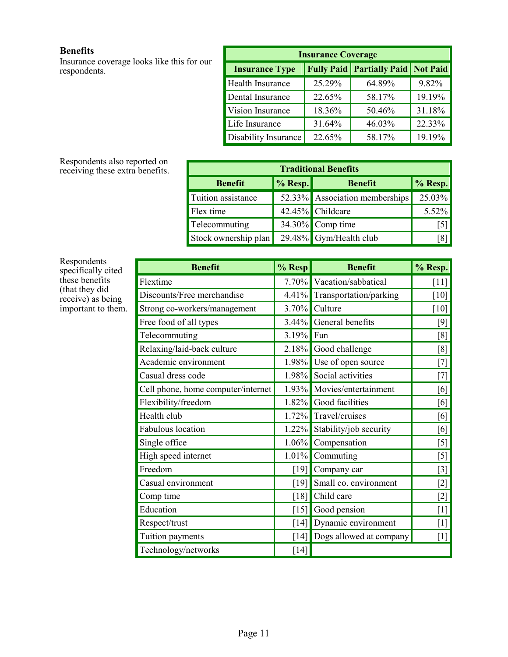#### **Benefits**

Insurance coverage looks like this for our respondents.

| <b>Insurance Coverage</b> |        |                                               |        |  |  |  |
|---------------------------|--------|-----------------------------------------------|--------|--|--|--|
| <b>Insurance Type</b>     |        | <b>Fully Paid   Partially Paid   Not Paid</b> |        |  |  |  |
| Health Insurance          | 25.29% | 64.89%                                        | 9.82%  |  |  |  |
| Dental Insurance          | 22.65% | 58.17%                                        | 19.19% |  |  |  |
| Vision Insurance          | 18.36% | 50.46%                                        | 31.18% |  |  |  |
| Life Insurance            | 31.64% | 46.03%                                        | 22.33% |  |  |  |
| Disability Insurance      | 22.65% | 58.17%                                        | 19.19% |  |  |  |

Respondents also reported on receiving these extra benefits.

| <b>Traditional Benefits</b> |         |                                |         |  |  |  |
|-----------------------------|---------|--------------------------------|---------|--|--|--|
| <b>Benefit</b>              | % Resp. | <b>Benefit</b>                 | % Resp. |  |  |  |
| Tuition assistance          |         | 52.33% Association memberships | 25.03%  |  |  |  |
| Flex time                   |         | 42.45% Childcare               | 5.52%   |  |  |  |
| Telecommuting               |         | 34.30% Comp time               | 15      |  |  |  |
| Stock ownership plan        |         | 29.48% Gym/Health club         | [8]     |  |  |  |

Respondents specifically cited these benefits (that they did receive) as being important to them.

| <b>Benefit</b>                     | % Resp             | <b>Benefit</b>                  | % Resp.            |
|------------------------------------|--------------------|---------------------------------|--------------------|
| Flextime                           |                    | 7.70% Vacation/sabbatical       | $\lceil 11 \rceil$ |
| Discounts/Free merchandise         |                    | 4.41% Transportation/parking    | $[10]$             |
| Strong co-workers/management       |                    | 3.70% Culture                   | $[10]$             |
| Free food of all types             |                    | 3.44% General benefits          | [9]                |
| Telecommuting                      | 3.19%              | Fun                             | [8]                |
| Relaxing/laid-back culture         |                    | 2.18% Good challenge            | [8]                |
| Academic environment               |                    | 1.98% Use of open source        | [7]                |
| Casual dress code                  |                    | 1.98% Social activities         | [7]                |
| Cell phone, home computer/internet |                    | 1.93% Movies/entertainment      | [6]                |
| Flexibility/freedom                |                    | 1.82% Good facilities           | [6]                |
| Health club                        |                    | 1.72% Travel/cruises            | [6]                |
| Fabulous location                  |                    | 1.22% Stability/job security    | [6]                |
| Single office                      | $1.06\%$           | Compensation                    | $[5]$              |
| High speed internet                | $1.01\%$           | Commuting                       | $[5]$              |
| Freedom                            | [19]               | Company car                     | $\lceil 3 \rceil$  |
| Casual environment                 | [19]               | Small co. environment           | $[2]$              |
| Comp time                          | [18]               | Child care                      | $[2]$              |
| Education                          |                    | $\lceil 15 \rceil$ Good pension | $\lceil 1 \rceil$  |
| Respect/trust                      | $\lceil 14 \rceil$ | Dynamic environment             | $\lceil 1 \rceil$  |
| Tuition payments                   | $\lceil 14 \rceil$ | Dogs allowed at company         | $[1]$              |
| Technology/networks                | [14]               |                                 |                    |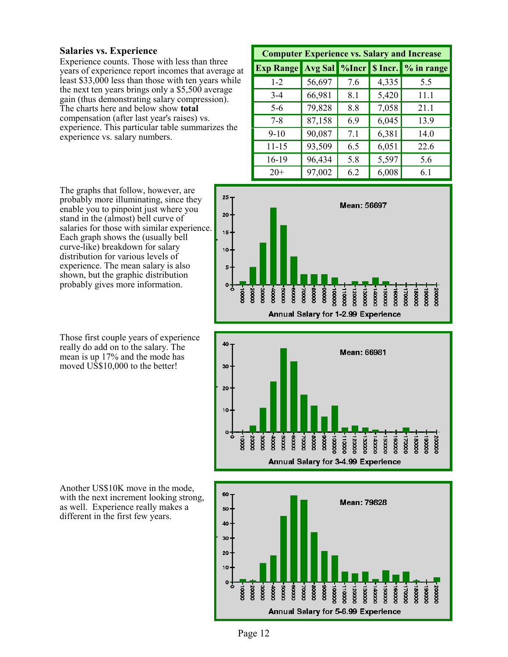#### **Salaries vs. Experience**

Experience counts. Those with less than three years of experience report incomes that average at least \$33,000 less than those with ten years while the next ten years brings only a \$5,500 average gain (thus demonstrating salary compression). The charts here and below show **total** compensation (after last year's raises) vs. experience. This particular table summarizes the experience vs. salary numbers.

| <b>Computer Experience vs. Salary and Increase</b> |                |             |       |                    |  |  |  |  |
|----------------------------------------------------|----------------|-------------|-------|--------------------|--|--|--|--|
| <b>Exp Range</b>                                   | <b>Avg Sal</b> | $\log$ Incr |       | S Incr. % in range |  |  |  |  |
| $1 - 2$                                            | 56,697         | 7.6         | 4,335 | 5.5                |  |  |  |  |
| $3-4$                                              | 66,981         | 8.1         | 5,420 | 11.1               |  |  |  |  |
| $5-6$                                              | 79,828         | 8.8         | 7,058 | 21.1               |  |  |  |  |
| $7 - 8$                                            | 87,158         | 6.9         | 6,045 | 13.9               |  |  |  |  |
| $9-10$                                             | 90,087         | 7.1         | 6,381 | 14.0               |  |  |  |  |
| $11 - 15$                                          | 93,509         | 6.5         | 6,051 | 22.6               |  |  |  |  |
| 16-19                                              | 96,434         | 5.8         | 5,597 | 5.6                |  |  |  |  |
| $20+$                                              | 97,002         | 6.2         | 6,008 | 6.1                |  |  |  |  |

The graphs that follow, however, are probably more illuminating, since they enable you to pinpoint just where you stand in the (almost) bell curve of salaries for those with similar experience. Each graph shows the (usually bell curve-like) breakdown for salary distribution for various levels of experience. The mean salary is also shown, but the graphic distribution probably gives more information.

Those first couple years of experience really do add on to the salary. The mean is up 17% and the mode has moved US\$10,000 to the better!

 $25 -$ Mean: 56697 20 15 10 ᅉ  $\infty$ **DOOCE** 00005 0000# 88000 00002  $\overline{8}$ **DOODL** 20000 **cooc** 0000 00005 00009  $\overline{8}$ Annual Salary for 1-2.99 Experience





Another US\$10K move in the mode, with the next increment looking strong, as well. Experience really makes a different in the first few years.

Page 12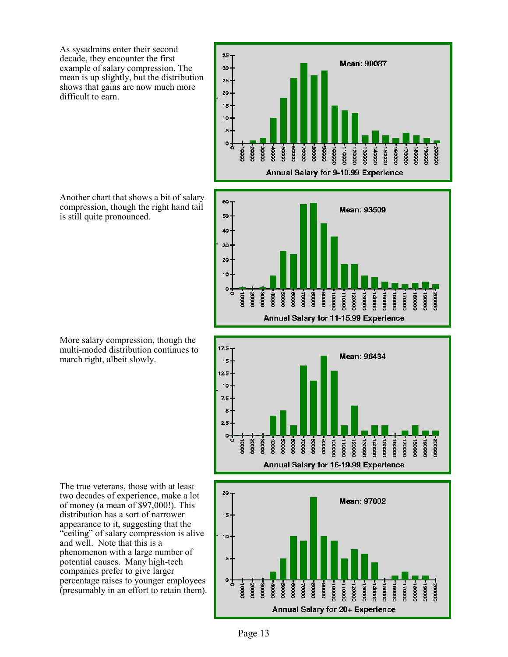As sysadmins enter their second decade, they encounter the first example of salary compression. The mean is up slightly, but the distribution shows that gains are now much more difficult to earn.



More salary compression, though the multi-moded distribution continues to march right, albeit slowly.

The true veterans, those with at least two decades of experience, make a lot of money (a mean of \$97,000!). This distribution has a sort of narrower appearance to it, suggesting that the "ceiling" of salary compression is alive and well. Note that this is a phenomenon with a large number of potential causes. Many high-tech companies prefer to give larger percentage raises to younger employees (presumably in an effort to retain them).









Page 13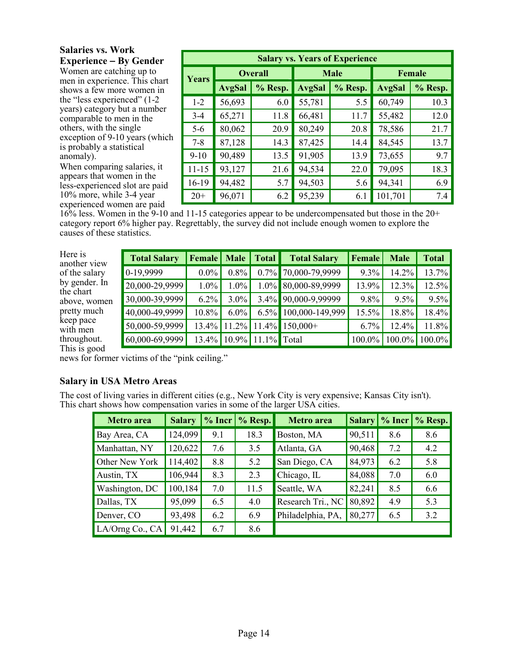#### **Salaries vs. Work Experience** − **By Gender**

Women are catching up to men in experience. This chart shows a few more women in the "less experienced" (1-2 years) category but a number comparable to men in the others, with the single exception of 9-10 years (which is probably a statistical anomaly).

When comparing salaries, it appears that women in the less-experienced slot are paid 10% more, while 3-4 year experienced women are paid

| <b>Salary vs. Years of Experience</b> |               |                |               |             |               |         |  |  |  |
|---------------------------------------|---------------|----------------|---------------|-------------|---------------|---------|--|--|--|
| Years                                 |               | <b>Overall</b> |               | <b>Male</b> |               | Female  |  |  |  |
|                                       | <b>AvgSal</b> | % Resp.        | <b>AvgSal</b> | % Resp.     | <b>AvgSal</b> | % Resp. |  |  |  |
| $1 - 2$                               | 56,693        | 6.0            | 55,781        | 5.5         | 60,749        | 10.3    |  |  |  |
| $3 - 4$                               | 65,271        | 11.8           | 66,481        | 11.7        | 55,482        | 12.0    |  |  |  |
| $5-6$                                 | 80,062        | 20.9           | 80,249        | 20.8        | 78,586        | 21.7    |  |  |  |
| $7 - 8$                               | 87,128        | 14.3           | 87,425        | 14.4        | 84,545        | 13.7    |  |  |  |
| $9-10$                                | 90,489        | 13.5           | 91,905        | 13.9        | 73,655        | 9.7     |  |  |  |
| $11 - 15$                             | 93,127        | 21.6           | 94,534        | 22.0        | 79,095        | 18.3    |  |  |  |
| 16-19                                 | 94,482        | 5.7            | 94,503        | 5.6         | 94,341        | 6.9     |  |  |  |
| $20+$                                 | 96,071        | 6.2            | 95,239        | 6.1         | 101,701       | 7.4     |  |  |  |

16% less. Women in the 9-10 and 11-15 categories appear to be undercompensated but those in the 20+ category report 6% higher pay. Regrettably, the survey did not include enough women to explore the causes of these statistics.

Here is another view of the salary by gender. In the chart above, women pretty much keep pace with men throughout. This is good

| <b>Total Salary</b> | <b>Female</b>   Male |          | Total          | <b>Total Salary</b>  | Female   | <b>Male</b> | <b>Total</b> |
|---------------------|----------------------|----------|----------------|----------------------|----------|-------------|--------------|
| 0-19,9999           | $0.0\%$              | $0.8\%$  |                | 0.7% 70,000-79,9999  | $9.3\%$  | 14.2%       | $13.7\%$     |
| 20,000-29,9999      | $1.0\%$              | 1.0%     |                | 1.0% 80,000-89,9999  | 13.9%    | 12.3%       | $12.5\%$     |
| 30,000-39,9999      | $6.2\%$              | $3.0\%$  |                | 3.4% 90,000-9,99999  | $9.8\%$  | $9.5\%$     | $9.5\%$      |
| 40,000-49,9999      | 10.8%                | $6.0\%$  |                | 6.5% 100,000-149,999 | $15.5\%$ | 18.8%       | $18.4\%$     |
| 50,000-59,9999      | 13.4%                | 11.2%    |                | $11.4\%$ 150,000+    | $6.7\%$  | 12.4%       | 11.8%        |
| 60,000-69,9999      | 13.4%                | $10.9\%$ | $11.1\%$ Total |                      | 100.0%   | 100.0%      | $100.0\%$    |

news for former victims of the "pink ceiling."

#### **Salary in USA Metro Areas**

The cost of living varies in different cities (e.g., New York City is very expensive; Kansas City isn't). This chart shows how compensation varies in some of the larger USA cities.

| <b>Metro</b> area      | <b>Salary</b> | $%$ Incr | % Resp. | <b>Metro</b> area |        |     | Salary   % Incr   % Resp. |
|------------------------|---------------|----------|---------|-------------------|--------|-----|---------------------------|
| Bay Area, CA           | 124,099       | 9.1      | 18.3    | Boston, MA        | 90,511 | 8.6 | 8.6                       |
| Manhattan, NY          | 120,622       | 7.6      | 3.5     | Atlanta, GA       | 90,468 | 7.2 | 4.2                       |
| Other New York         | 114,402       | 8.8      | 5.2     | San Diego, CA     | 84,973 | 6.2 | 5.8                       |
| Austin, TX             | 106,944       | 8.3      | 2.3     | Chicago, IL       | 84,088 | 7.0 | 6.0                       |
| <b>Washington</b> , DC | 100, 184      | 7.0      | 11.5    | Seattle, WA       | 82,241 | 8.5 | 6.6                       |
| Dallas, TX             | 95,099        | 6.5      | 4.0     | Research Tri., NC | 80,892 | 4.9 | 5.3                       |
| Denver, CO             | 93,498        | 6.2      | 6.9     | Philadelphia, PA, | 80,277 | 6.5 | 3.2                       |
| LA/Orng Co., CA        | 91,442        | 6.7      | 8.6     |                   |        |     |                           |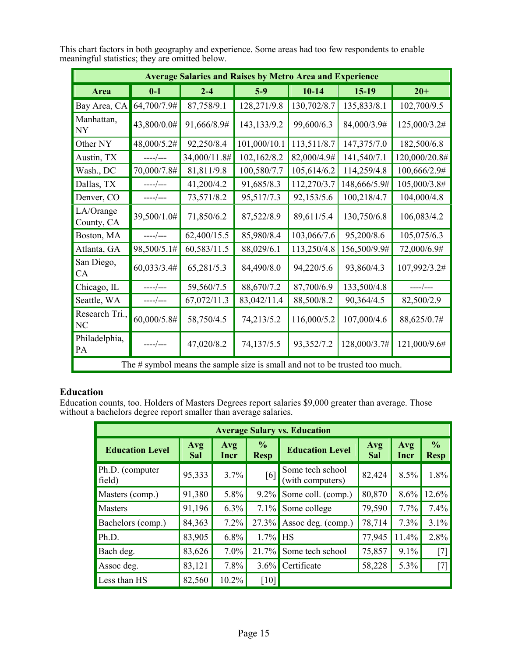|                         |             | <b>Average Salaries and Raises by Metro Area and Experience</b>                |              |             |              |               |
|-------------------------|-------------|--------------------------------------------------------------------------------|--------------|-------------|--------------|---------------|
| Area                    | $0-1$       | $2 - 4$                                                                        | $5-9$        | $10-14$     | $15-19$      | $20 +$        |
| Bay Area, CA            | 64,700/7.9# | 87,758/9.1                                                                     | 128,271/9.8  | 130,702/8.7 | 135,833/8.1  | 102,700/9.5   |
| Manhattan,<br><b>NY</b> | 43,800/0.0# | 91,666/8.9#                                                                    | 143,133/9.2  | 99,600/6.3  | 84,000/3.9#  | 125,000/3.2#  |
| Other NY                | 48,000/5.2# | 92,250/8.4                                                                     | 101,000/10.1 | 113,511/8.7 | 147,375/7.0  | 182,500/6.8   |
| Austin, TX              | $---/---$   | 34,000/11.8#                                                                   | 102,162/8.2  | 82,000/4.9# | 141,540/7.1  | 120,000/20.8# |
| Wash., DC               | 70,000/7.8# | 81,811/9.8                                                                     | 100,580/7.7  | 105,614/6.2 | 114,259/4.8  | 100,666/2.9#  |
| Dallas, TX              | ----/---    | 41,200/4.2                                                                     | 91,685/8.3   | 112,270/3.7 | 148,666/5.9# | 105,000/3.8#  |
| Denver, CO              | $---/---$   | 73,571/8.2                                                                     | 95,517/7.3   | 92,153/5.6  | 100,218/4.7  | 104,000/4.8   |
| LA/Orange<br>County, CA | 39,500/1.0# | 71,850/6.2                                                                     | 87,522/8.9   | 89,611/5.4  | 130,750/6.8  | 106,083/4.2   |
| Boston, MA              | $---/---$   | 62,400/15.5                                                                    | 85,980/8.4   | 103,066/7.6 | 95,200/8.6   | 105,075/6.3   |
| Atlanta, GA             | 98,500/5.1# | 60,583/11.5                                                                    | 88,029/6.1   | 113,250/4.8 | 156,500/9.9# | 72,000/6.9#   |
| San Diego,<br>CA        | 60,033/3.4# | 65,281/5.3                                                                     | 84,490/8.0   | 94,220/5.6  | 93,860/4.3   | 107,992/3.2#  |
| Chicago, IL             | $---/---$   | 59,560/7.5                                                                     | 88,670/7.2   | 87,700/6.9  | 133,500/4.8  | $---/---$     |
| Seattle, WA             | $---/---$   | 67,072/11.3                                                                    | 83,042/11.4  | 88,500/8.2  | 90,364/4.5   | 82,500/2.9    |
| Research Tri.,<br>NC    | 60,000/5.8# | 58,750/4.5                                                                     | 74,213/5.2   | 116,000/5.2 | 107,000/4.6  | 88,625/0.7#   |
| Philadelphia,<br>PA     | $---/---$   | 47,020/8.2                                                                     | 74,137/5.5   | 93,352/7.2  | 128,000/3.7# | 121,000/9.6#  |
|                         |             | The $\#$ symbol means the sample size is small and not to be trusted too much. |              |             |              |               |

This chart factors in both geography and experience. Some areas had too few respondents to enable meaningful statistics; they are omitted below.

#### **Education**

Education counts, too. Holders of Masters Degrees report salaries \$9,000 greater than average. Those without a bachelors degree report smaller than average salaries.

|                           | <b>Average Salary vs. Education</b> |                                                                       |            |                                                |             |                              |                   |  |  |  |  |
|---------------------------|-------------------------------------|-----------------------------------------------------------------------|------------|------------------------------------------------|-------------|------------------------------|-------------------|--|--|--|--|
| <b>Education Level</b>    | Avg<br>Sal                          | $\frac{6}{6}$<br>Avg<br><b>Education Level</b><br><b>Resp</b><br>Incr |            | Avg<br>Sal                                     | Avg<br>Incr | $\frac{0}{0}$<br><b>Resp</b> |                   |  |  |  |  |
| Ph.D. (computer<br>field) | 95,333                              | 3.7%                                                                  | [6]        | Some tech school<br>82,424<br>(with computers) |             | 8.5%                         | $1.8\%$           |  |  |  |  |
| Masters (comp.)           | 91,380                              | 5.8%                                                                  | $9.2\%$    | Some coll. (comp.)                             | 80,870      | 8.6%                         | 12.6%             |  |  |  |  |
| <b>Masters</b>            | 91,196                              | $6.3\%$                                                               | 7.1%       | Some college                                   | 79,590      | 7.7%                         | $7.4\%$           |  |  |  |  |
| Bachelors (comp.)         | 84,363                              | 7.2%                                                                  | 27.3%      | Assoc deg. (comp.)                             | 78,714      | 7.3%                         | 3.1%              |  |  |  |  |
| Ph.D.                     | 83,905                              | 6.8%                                                                  | $1.7\%$ HS |                                                | 77,945      | 11.4%                        | 2.8%              |  |  |  |  |
| Bach deg.                 | 83,626                              | 7.0%                                                                  | 21.7%      | Some tech school                               | 75,857      | 9.1%                         | [7]               |  |  |  |  |
| Assoc deg.                | 83,121                              | 7.8%                                                                  | $3.6\%$    | Certificate                                    | 58,228      | $5.3\%$                      | $\lceil 7 \rceil$ |  |  |  |  |
| Less than HS              | 82,560                              | 10.2%                                                                 | [10]       |                                                |             |                              |                   |  |  |  |  |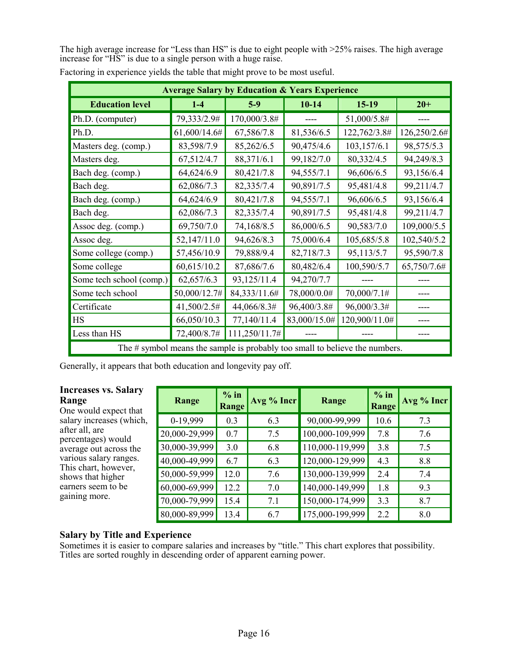The high average increase for "Less than HS" is due to eight people with >25% raises. The high average increase for "HS" is due to a single person with a huge raise.

|                          |              | <b>Average Salary by Education &amp; Years Experience</b>                   |              |               |              |
|--------------------------|--------------|-----------------------------------------------------------------------------|--------------|---------------|--------------|
| <b>Education level</b>   | $1 - 4$      | $5-9$                                                                       | $10-14$      | $15-19$       | $20+$        |
| Ph.D. (computer)         | 79,333/2.9#  | 170,000/3.8#                                                                |              | 51,000/5.8#   |              |
| Ph.D.                    | 61,600/14.6# | 67,586/7.8                                                                  | 81,536/6.5   | 122,762/3.8#  | 126,250/2.6# |
| Masters deg. (comp.)     | 83,598/7.9   | 85,262/6.5                                                                  | 90,475/4.6   | 103,157/6.1   | 98,575/5.3   |
| Masters deg.             | 67,512/4.7   | 88,371/6.1                                                                  | 99,182/7.0   | 80,332/4.5    | 94,249/8.3   |
| Bach deg. (comp.)        | 64,624/6.9   | 80,421/7.8                                                                  | 94,555/7.1   | 96,606/6.5    | 93,156/6.4   |
| Bach deg.                | 62,086/7.3   | 82,335/7.4                                                                  | 90,891/7.5   | 95,481/4.8    | 99,211/4.7   |
| Bach deg. (comp.)        | 64,624/6.9   | 80,421/7.8                                                                  | 94,555/7.1   | 96,606/6.5    | 93,156/6.4   |
| Bach deg.                | 62,086/7.3   | 82,335/7.4                                                                  | 90,891/7.5   | 95,481/4.8    | 99,211/4.7   |
| Assoc deg. (comp.)       | 69,750/7.0   | 74,168/8.5                                                                  | 86,000/6.5   | 90,583/7.0    | 109,000/5.5  |
| Assoc deg.               | 52,147/11.0  | 94,626/8.3                                                                  | 75,000/6.4   | 105,685/5.8   | 102,540/5.2  |
| Some college (comp.)     | 57,456/10.9  | 79,888/9.4                                                                  | 82,718/7.3   | 95,113/5.7    | 95,590/7.8   |
| Some college             | 60,615/10.2  | 87,686/7.6                                                                  | 80,482/6.4   | 100,590/5.7   | 65,750/7.6#  |
| Some tech school (comp.) | 62,657/6.3   | 93,125/11.4                                                                 | 94,270/7.7   |               |              |
| Some tech school         | 50,000/12.7# | 84,333/11.6#                                                                | 78,000/0.0#  | 70,000/7.1#   |              |
| Certificate              | 41,500/2.5#  | 44,066/8.3#                                                                 | 96,400/3.8#  | 96,000/3.3#   |              |
| HS                       | 66,050/10.3  | 77,140/11.4                                                                 | 83,000/15.0# | 120,900/11.0# |              |
| Less than HS             | 72,400/8.7#  | 111,250/11.7#                                                               |              |               |              |
|                          |              | The # symbol means the sample is probably too small to believe the numbers. |              |               |              |

Factoring in experience yields the table that might prove to be most useful.

Generally, it appears that both education and longevity pay off.

#### **Increases vs. Salary Range**

One would expect that salary increases (which, after all, are percentages) would average out across the various salary ranges. This chart, however, shows that higher earners seem to be gaining more.

| Range         | $%$ in<br><b>Range</b> | Avg % Incr | Range           | $%$ in<br><b>Range</b> | Avg % Incr |
|---------------|------------------------|------------|-----------------|------------------------|------------|
| 0-19,999      | 0.3                    | 6.3        | 90,000-99,999   | 10.6                   | 7.3        |
| 20,000-29,999 | 0.7                    | 7.5        | 100,000-109,999 | 7.8                    | 7.6        |
| 30,000-39,999 | 3.0                    | 6.8        | 110,000-119,999 | 3.8                    | 7.5        |
| 40,000-49,999 | 6.7                    | 6.3        | 120,000-129,999 | 4.3                    | 8.8        |
| 50,000-59,999 | 12.0                   | 7.6        | 130,000-139,999 | 24                     | 7.4        |
| 60,000-69,999 | 12.2                   | 7.0        | 140,000-149,999 | 1.8                    | 9.3        |
| 70,000-79,999 | 15.4                   | 7.1        | 150,000-174,999 | 3.3                    | 8.7        |
| 80,000-89,999 | 13.4                   | 6.7        | 175,000-199,999 | 22                     | 8.0        |

#### **Salary by Title and Experience**

Sometimes it is easier to compare salaries and increases by "title." This chart explores that possibility. Titles are sorted roughly in descending order of apparent earning power.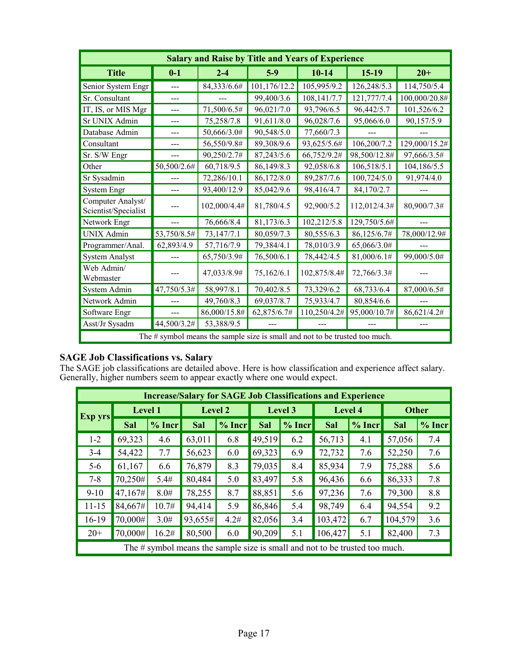|                                           |                | <b>Salary and Raise by Title and Years of Experience</b>                    |              |              |              |               |
|-------------------------------------------|----------------|-----------------------------------------------------------------------------|--------------|--------------|--------------|---------------|
| <b>Title</b>                              | $0-1$          | $2 - 4$                                                                     | $5-9$        | $10 - 14$    | $15-19$      | $20+$         |
| Senior System Engr                        | $\overline{a}$ | 84,333/6.6#                                                                 | 101,176/12.2 | 105,995/9.2  | 126,248/5.3  | 114,750/5.4   |
| Sr. Consultant                            | ---            |                                                                             | 99,400/3.6   | 108,141/7.7  | 121,777/7.4  | 100,000/20.8# |
| IT, IS, or MIS Mgr                        | $---$          | 71,500/6.5#                                                                 | 96,021/7.0   | 93,796/6.5   | 96,442/5.7   | 101,526/6.2   |
| Sr UNIX Admin                             | ---            | 75,258/7.8                                                                  | 91,611/8.0   | 96,028/7.6   | 95,066/6.0   | 90,157/5.9    |
| Database Admin                            | ---            | 50,666/3.0#                                                                 | 90,548/5.0   | 77,660/7.3   |              |               |
| Consultant                                | ---            | 56,550/9.8#                                                                 | 89,308/9.6   | 93,625/5.6#  | 106,200/7.2  | 129,000/15.2# |
| Sr. S/W Engr                              |                | 90,250/2.7#                                                                 | 87,243/5.6   | 66,752/9.2#  | 98,500/12.8# | 97,666/3.5#   |
| Other                                     | 50,500/2.6#    | 60,718/9.5                                                                  | 86,149/8.3   | 92,058/6.8   | 106,518/5.1  | 104,186/5.5   |
| Sr Sysadmin                               |                | 72,286/10.1                                                                 | 86,172/8.0   | 89,287/7.6   | 100,724/5.0  | 91,974/4.0    |
| <b>System Engr</b>                        |                | 93,400/12.9                                                                 | 85,042/9.6   | 98,416/4.7   | 84,170/2.7   |               |
| Computer Analyst/<br>Scientist/Specialist |                | 102,000/4.4#                                                                | 81,780/4.5   | 92,900/5.2   | 112,012/4.3# | 80,900/7.3#   |
| Network Engr                              | $---$          | 76,666/8.4                                                                  | 81,173/6.3   | 102,212/5.8  | 129,750/5.6# |               |
| UNIX Admin                                | 53,750/8.5#    | 73,147/7.1                                                                  | 80,059/7.3   | 80,555/6.3   | 86,125/6.7#  | 78,000/12.9#  |
| Programmer/Anal.                          | 62,893/4.9     | 57,716/7.9                                                                  | 79,384/4.1   | 78,010/3.9   | 65,066/3.0#  |               |
| <b>System Analyst</b>                     |                | 65,750/3.9#                                                                 | 76,500/6.1   | 78,442/4.5   | 81,000/6.1#  | 99,000/5.0#   |
| Web Admin/<br>Webmaster                   |                | 47,033/8.9#                                                                 | 75,162/6.1   | 102,875/8.4# | 72,766/3.3#  |               |
| System Admin                              | 47,750/5.3#    | 58,997/8.1                                                                  | 70,402/8.5   | 73,329/6.2   | 68,733/6.4   | 87,000/6.5#   |
| Network Admin                             |                | 49,760/8.3                                                                  | 69,037/8.7   | 75,933/4.7   | 80,854/6.6   |               |
| Software Engr                             | ---            | 86,000/15.8#                                                                | 62,875/6.7#  | 110,250/4.2# | 95,000/10.7# | 86,621/4.2#   |
| Asst/Jr Sysadm                            | 44,500/3.2#    | 53,388/9.5                                                                  |              |              |              |               |
|                                           |                | The # symbol means the sample size is small and not to be trusted too much. |              |              |              |               |

#### **SAGE Job Classifications vs. Salary**

The SAGE job classifications are detailed above. Here is how classification and experience affect salary. Generally, higher numbers seem to appear exactly where one would expect.

|           | <b>Increase/Salary for SAGE Job Classifications and Experience</b> |          |                                                                                |          |        |          |         |          |              |          |  |
|-----------|--------------------------------------------------------------------|----------|--------------------------------------------------------------------------------|----------|--------|----------|---------|----------|--------------|----------|--|
| Exp yrs   | Level 1                                                            |          | <b>Level 2</b>                                                                 |          |        | Level 3  | Level 4 |          | <b>Other</b> |          |  |
|           | Sal                                                                | $%$ Incr | Sal                                                                            | $%$ Incr | Sal    | $%$ Incr | Sal     | $%$ Incr | Sal          | $%$ Incr |  |
| $1 - 2$   | 69,323                                                             | 4.6      | 63,011                                                                         | 6.8      | 49,519 | 6.2      | 56,713  | 4.1      | 57,056       | 7.4      |  |
| $3-4$     | 54,422                                                             | 7.7      | 56,623                                                                         | 6.0      | 69,323 | 6.9      | 72,732  | 7.6      | 52,250       | 7.6      |  |
| $5-6$     | 61,167                                                             | 6.6      | 76,879                                                                         | 8.3      | 79,035 | 8.4      | 85,934  | 7.9      | 75,288       | 5.6      |  |
| $7 - 8$   | 70,250#                                                            | 5.4#     | 80,484                                                                         | 5.0      | 83,497 | 5.8      | 96,436  | 6.6      | 86,333       | 7.8      |  |
| $9-10$    | 47,167#                                                            | 8.0#     | 78,255                                                                         | 8.7      | 88,851 | 5.6      | 97,236  | 7.6      | 79,300       | 8.8      |  |
| $11 - 15$ | 84,667#                                                            | 10.7#    | 94,414                                                                         | 5.9      | 86,846 | 5.4      | 98,749  | 6.4      | 94,554       | 9.2      |  |
| 16-19     | 70,000#                                                            | 3.0#     | 93,655#                                                                        | 4.2#     | 82,056 | 3.4      | 103,472 | 6.7      | 104,579      | 3.6      |  |
| $20+$     | 70,000#                                                            | 16.2#    | 80,500                                                                         | 6.0      | 90,209 | 5.1      | 106,427 | 5.1      | 82,400       | 7.3      |  |
|           |                                                                    |          | The $\#$ symbol means the sample size is small and not to be trusted too much. |          |        |          |         |          |              |          |  |